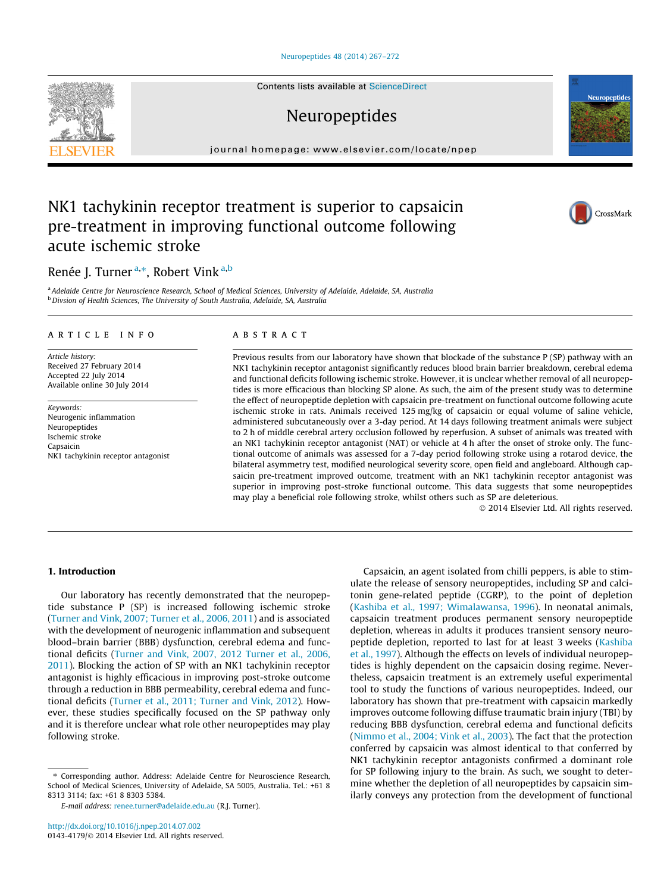### [Neuropeptides 48 \(2014\) 267–272](http://dx.doi.org/10.1016/j.npep.2014.07.002)

Contents lists available at [ScienceDirect](http://www.sciencedirect.com/science/journal/01434179)

# Neuropeptides

journal homepage: [www.elsevier.com/locate/npep](http://www.elsevier.com/locate/npep)

# NK1 tachykinin receptor treatment is superior to capsaicin pre-treatment in improving functional outcome following acute ischemic stroke

# Renée J. Turner<sup>a,\*</sup>, Robert Vink<sup>a,b</sup>

a Adelaide Centre for Neuroscience Research, School of Medical Sciences, University of Adelaide, Adelaide, SA, Australia b Divsion of Health Sciences, The University of South Australia, Adelaide, SA, Australia

#### article info

Article history: Received 27 February 2014 Accepted 22 July 2014 Available online 30 July 2014

Keywords: Neurogenic inflammation Neuropeptides Ischemic stroke Capsaicin NK1 tachykinin receptor antagonist

# **ABSTRACT**

Previous results from our laboratory have shown that blockade of the substance P (SP) pathway with an NK1 tachykinin receptor antagonist significantly reduces blood brain barrier breakdown, cerebral edema and functional deficits following ischemic stroke. However, it is unclear whether removal of all neuropeptides is more efficacious than blocking SP alone. As such, the aim of the present study was to determine the effect of neuropeptide depletion with capsaicin pre-treatment on functional outcome following acute ischemic stroke in rats. Animals received 125 mg/kg of capsaicin or equal volume of saline vehicle, administered subcutaneously over a 3-day period. At 14 days following treatment animals were subject to 2 h of middle cerebral artery occlusion followed by reperfusion. A subset of animals was treated with an NK1 tachykinin receptor antagonist (NAT) or vehicle at 4 h after the onset of stroke only. The functional outcome of animals was assessed for a 7-day period following stroke using a rotarod device, the bilateral asymmetry test, modified neurological severity score, open field and angleboard. Although capsaicin pre-treatment improved outcome, treatment with an NK1 tachykinin receptor antagonist was superior in improving post-stroke functional outcome. This data suggests that some neuropeptides may play a beneficial role following stroke, whilst others such as SP are deleterious.

- 2014 Elsevier Ltd. All rights reserved.

## 1. Introduction

Our laboratory has recently demonstrated that the neuropeptide substance P (SP) is increased following ischemic stroke ([Turner and Vink, 2007; Turner et al., 2006, 2011](#page-5-0)) and is associated with the development of neurogenic inflammation and subsequent blood–brain barrier (BBB) dysfunction, cerebral edema and functional deficits ([Turner and Vink, 2007, 2012 Turner et al., 2006,](#page-5-0) [2011\)](#page-5-0). Blocking the action of SP with an NK1 tachykinin receptor antagonist is highly efficacious in improving post-stroke outcome through a reduction in BBB permeability, cerebral edema and functional deficits ([Turner et al., 2011; Turner and Vink, 2012\)](#page-5-0). However, these studies specifically focused on the SP pathway only and it is therefore unclear what role other neuropeptides may play following stroke.

Capsaicin, an agent isolated from chilli peppers, is able to stimulate the release of sensory neuropeptides, including SP and calcitonin gene-related peptide (CGRP), to the point of depletion ([Kashiba et al., 1997; Wimalawansa, 1996\)](#page-5-0). In neonatal animals, capsaicin treatment produces permanent sensory neuropeptide depletion, whereas in adults it produces transient sensory neuropeptide depletion, reported to last for at least 3 weeks ([Kashiba](#page-5-0) [et al., 1997\)](#page-5-0). Although the effects on levels of individual neuropeptides is highly dependent on the capsaicin dosing regime. Nevertheless, capsaicin treatment is an extremely useful experimental tool to study the functions of various neuropeptides. Indeed, our laboratory has shown that pre-treatment with capsaicin markedly improves outcome following diffuse traumatic brain injury (TBI) by reducing BBB dysfunction, cerebral edema and functional deficits ([Nimmo et al., 2004; Vink et al., 2003](#page-5-0)). The fact that the protection conferred by capsaicin was almost identical to that conferred by NK1 tachykinin receptor antagonists confirmed a dominant role for SP following injury to the brain. As such, we sought to determine whether the depletion of all neuropeptides by capsaicin similarly conveys any protection from the development of functional





Neuropeptide



<sup>⇑</sup> Corresponding author. Address: Adelaide Centre for Neuroscience Research, School of Medical Sciences, University of Adelaide, SA 5005, Australia. Tel.: +61 8 8313 3114; fax: +61 8 8303 5384.

E-mail address: [renee.turner@adelaide.edu.au](mailto:renee.turner@adelaide.edu.au) (R.J. Turner).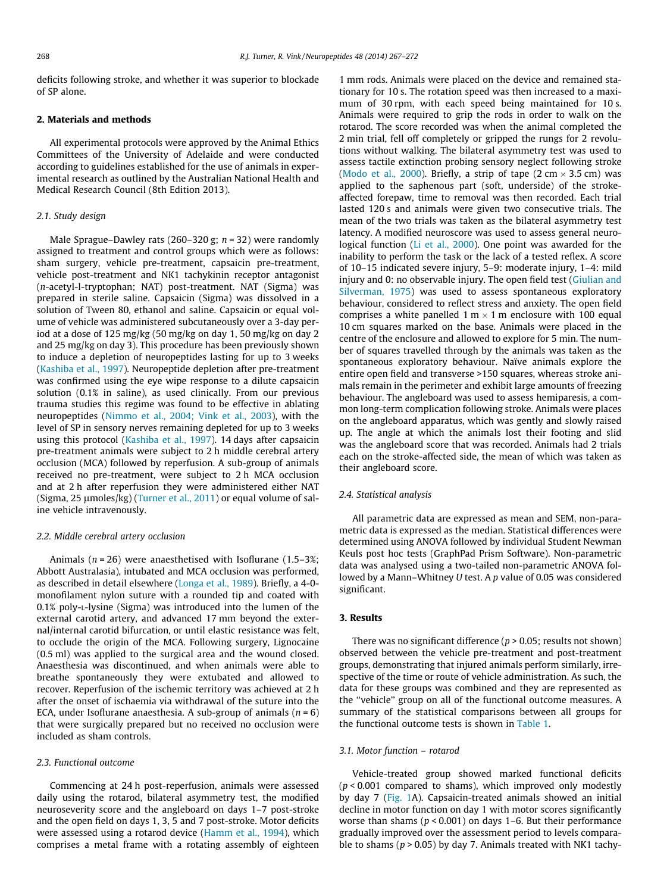deficits following stroke, and whether it was superior to blockade of SP alone.

# 2. Materials and methods

All experimental protocols were approved by the Animal Ethics Committees of the University of Adelaide and were conducted according to guidelines established for the use of animals in experimental research as outlined by the Australian National Health and Medical Research Council (8th Edition 2013).

#### 2.1. Study design

Male Sprague–Dawley rats (260–320 g;  $n = 32$ ) were randomly assigned to treatment and control groups which were as follows: sham surgery, vehicle pre-treatment, capsaicin pre-treatment, vehicle post-treatment and NK1 tachykinin receptor antagonist (n-acetyl-l-tryptophan; NAT) post-treatment. NAT (Sigma) was prepared in sterile saline. Capsaicin (Sigma) was dissolved in a solution of Tween 80, ethanol and saline. Capsaicin or equal volume of vehicle was administered subcutaneously over a 3-day period at a dose of 125 mg/kg (50 mg/kg on day 1, 50 mg/kg on day 2 and 25 mg/kg on day 3). This procedure has been previously shown to induce a depletion of neuropeptides lasting for up to 3 weeks ([Kashiba et al., 1997\)](#page-5-0). Neuropeptide depletion after pre-treatment was confirmed using the eye wipe response to a dilute capsaicin solution (0.1% in saline), as used clinically. From our previous trauma studies this regime was found to be effective in ablating neuropeptides ([Nimmo et al., 2004; Vink et al., 2003\)](#page-5-0), with the level of SP in sensory nerves remaining depleted for up to 3 weeks using this protocol ([Kashiba et al., 1997\)](#page-5-0). 14 days after capsaicin pre-treatment animals were subject to 2 h middle cerebral artery occlusion (MCA) followed by reperfusion. A sub-group of animals received no pre-treatment, were subject to 2 h MCA occlusion and at 2 h after reperfusion they were administered either NAT (Sigma, 25  $\mu$ moles/kg) ([Turner et al., 2011\)](#page-5-0) or equal volume of saline vehicle intravenously.

### 2.2. Middle cerebral artery occlusion

Animals ( $n = 26$ ) were anaesthetised with Isoflurane (1.5–3%; Abbott Australasia), intubated and MCA occlusion was performed, as described in detail elsewhere ([Longa et al., 1989](#page-5-0)). Briefly, a 4-0 monofilament nylon suture with a rounded tip and coated with 0.1% poly-L-lysine (Sigma) was introduced into the lumen of the external carotid artery, and advanced 17 mm beyond the external/internal carotid bifurcation, or until elastic resistance was felt, to occlude the origin of the MCA. Following surgery, Lignocaine (0.5 ml) was applied to the surgical area and the wound closed. Anaesthesia was discontinued, and when animals were able to breathe spontaneously they were extubated and allowed to recover. Reperfusion of the ischemic territory was achieved at 2 h after the onset of ischaemia via withdrawal of the suture into the ECA, under Isoflurane anaesthesia. A sub-group of animals  $(n = 6)$ that were surgically prepared but no received no occlusion were included as sham controls.

# 2.3. Functional outcome

Commencing at 24 h post-reperfusion, animals were assessed daily using the rotarod, bilateral asymmetry test, the modified neuroseverity score and the angleboard on days 1–7 post-stroke and the open field on days 1, 3, 5 and 7 post-stroke. Motor deficits were assessed using a rotarod device [\(Hamm et al., 1994\)](#page-5-0), which comprises a metal frame with a rotating assembly of eighteen 1 mm rods. Animals were placed on the device and remained stationary for 10 s. The rotation speed was then increased to a maximum of 30 rpm, with each speed being maintained for 10 s. Animals were required to grip the rods in order to walk on the rotarod. The score recorded was when the animal completed the 2 min trial, fell off completely or gripped the rungs for 2 revolutions without walking. The bilateral asymmetry test was used to assess tactile extinction probing sensory neglect following stroke ([Modo et al., 2000\)](#page-5-0). Briefly, a strip of tape (2 cm  $\times$  3.5 cm) was applied to the saphenous part (soft, underside) of the strokeaffected forepaw, time to removal was then recorded. Each trial lasted 120 s and animals were given two consecutive trials. The mean of the two trials was taken as the bilateral asymmetry test latency. A modified neuroscore was used to assess general neurological function ([Li et al., 2000\)](#page-5-0). One point was awarded for the inability to perform the task or the lack of a tested reflex. A score of 10–15 indicated severe injury, 5–9: moderate injury, 1–4: mild injury and 0: no observable injury. The open field test [\(Giulian and](#page-4-0) [Silverman, 1975](#page-4-0)) was used to assess spontaneous exploratory behaviour, considered to reflect stress and anxiety. The open field comprises a white panelled 1 m  $\times$  1 m enclosure with 100 equal 10 cm squares marked on the base. Animals were placed in the centre of the enclosure and allowed to explore for 5 min. The number of squares travelled through by the animals was taken as the spontaneous exploratory behaviour. Naïve animals explore the entire open field and transverse >150 squares, whereas stroke animals remain in the perimeter and exhibit large amounts of freezing behaviour. The angleboard was used to assess hemiparesis, a common long-term complication following stroke. Animals were places on the angleboard apparatus, which was gently and slowly raised up. The angle at which the animals lost their footing and slid was the angleboard score that was recorded. Animals had 2 trials each on the stroke-affected side, the mean of which was taken as their angleboard score.

#### 2.4. Statistical analysis

All parametric data are expressed as mean and SEM, non-parametric data is expressed as the median. Statistical differences were determined using ANOVA followed by individual Student Newman Keuls post hoc tests (GraphPad Prism Software). Non-parametric data was analysed using a two-tailed non-parametric ANOVA followed by a Mann–Whitney U test. A p value of 0.05 was considered significant.

#### 3. Results

There was no significant difference ( $p > 0.05$ ; results not shown) observed between the vehicle pre-treatment and post-treatment groups, demonstrating that injured animals perform similarly, irrespective of the time or route of vehicle administration. As such, the data for these groups was combined and they are represented as the ''vehicle'' group on all of the functional outcome measures. A summary of the statistical comparisons between all groups for the functional outcome tests is shown in [Table 1.](#page-2-0)

#### 3.1. Motor function – rotarod

Vehicle-treated group showed marked functional deficits  $(p < 0.001$  compared to shams), which improved only modestly by day 7 [\(Fig. 1](#page-2-0)A). Capsaicin-treated animals showed an initial decline in motor function on day 1 with motor scores significantly worse than shams ( $p < 0.001$ ) on days 1–6. But their performance gradually improved over the assessment period to levels comparable to shams ( $p > 0.05$ ) by day 7. Animals treated with NK1 tachy-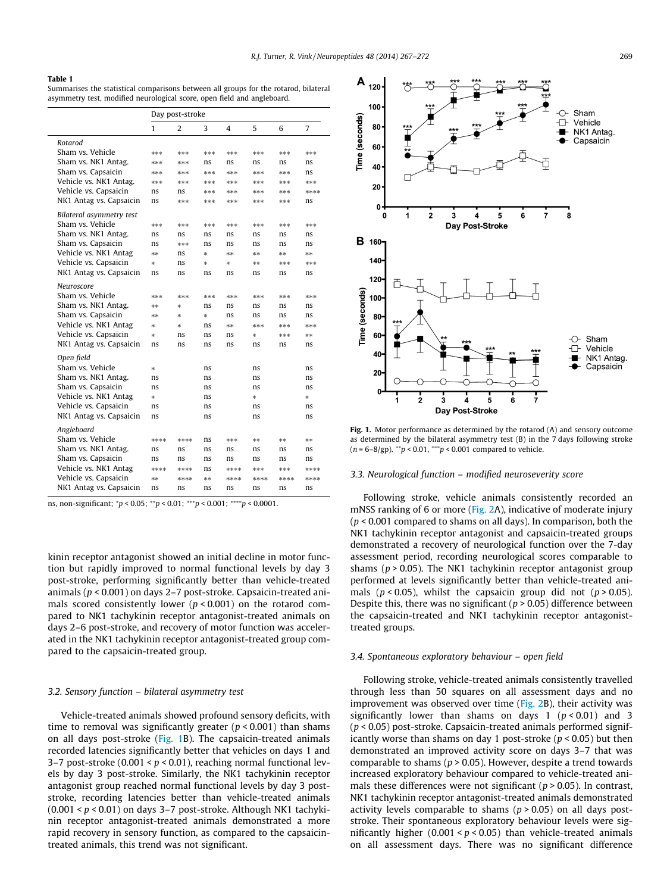#### <span id="page-2-0"></span>Table 1

Summarises the statistical comparisons between all groups for the rotarod, bilateral asymmetry test, modified neurological score, open field and angleboard.

|                                                | Day post-stroke |      |        |      |      |          |          |
|------------------------------------------------|-----------------|------|--------|------|------|----------|----------|
|                                                | 1               | 2    | 3      | 4    | 5    | 6        | 7        |
| Rotarod                                        |                 |      |        |      |      |          |          |
| Sham vs. Vehicle                               | ***             | ***  | ***    | ***  | ***  | sk sk sk | sk sk sk |
| Sham vs. NK1 Antag.                            | ***             | ***  | ns     | ns   | ns   | ns       | ns       |
| Sham vs. Capsaicin                             | ***             | ***  | ***    | ***  | ***  | ***      | ns       |
| Vehicle vs. NK1 Antag.                         | ***             | ***  | ***    | ***  | ***  | ***      | ***      |
| Vehicle vs. Capsaicin                          | ns              | ns   | ***    | ***  | ***  | ***      | ****     |
| NK1 Antag vs. Capsaicin                        | ns              | ***  | ***    | ***  | ***  | ***      | ns       |
| Bilateral asymmetry test                       |                 |      |        |      |      |          |          |
| Sham vs. Vehicle                               | ***             | ***  | ***    | ***  | ***  | ***      | ***      |
| Sham vs. NK1 Antag.                            | ns              | ns   | ns     | ns   | ns   | ns       | ns       |
| Sham vs. Capsaicin                             | ns              | ***  | ns     | ns   | ns   | ns       | ns       |
| Vehicle vs. NK1 Antag                          | **              | ns   | $\ast$ | **   | **   | **       | **       |
| Vehicle vs. Capsaicin                          | $\frac{1}{2}$   | ns   | ×.     | 冰    | **   | ***      | ***      |
| NK1 Antag vs. Capsaicin                        | ns              | ns   | ns     | ns   | ns   | ns       | ns       |
| Neuroscore                                     |                 |      |        |      |      |          |          |
| Sham vs. Vehicle                               | ***             | ***  | ***    | ***  | ***  | ***      | ***      |
| Sham vs. NK1 Antag.                            | **              | ×.   | ns     | ns   | ns   | ns       | ns       |
| Sham vs. Capsaicin                             | **              | *    | *      | ns   | ns   | ns       | ns       |
| Vehicle vs. NK1 Antag                          | ×,              | 冰    | ns     | **   | ***  | ***      | ***      |
| Vehicle vs. Capsaicin                          | ×.              | ns   | ns     | ns   | ×    | ***      | **       |
| NK1 Antag vs. Capsaicin                        | ns              | ns   | ns     | ns   | ns   | ns       | ns       |
|                                                |                 |      |        |      |      |          |          |
| Sham vs. Vehicle                               | $\ast$          |      | ns     |      | ns   |          | ns       |
| Sham vs. NK1 Antag.                            | ns              |      | ns     |      | ns   |          | ns       |
| Sham vs. Capsaicin                             | ns              |      | ns     |      | ns   |          | ns       |
| Vehicle vs. NK1 Antag                          | $\frac{1}{2}$   |      | ns     |      | ×    |          | *        |
| Vehicle vs. Capsaicin                          | ns              |      | ns     |      | ns   |          | ns       |
| NK1 Antag vs. Capsaicin                        | ns              |      | ns     |      | ns   |          | ns       |
|                                                |                 |      |        |      |      |          |          |
| Sham vs. Vehicle                               | ****            | **** | ns     | ***  | **   | **       | **       |
| Sham vs. NK1 Antag.                            | ns              | ns   | ns     | ns   | ns   | ns       | ns       |
|                                                | ns              | ns   | ns     | ns   | ns   | ns       | ns       |
| Vehicle vs. NK1 Antag                          | ****            | **** | ns     | **** | ***  | ***      | ****     |
| Vehicle vs. Capsaicin                          | **              | **** | **     | **** | **** | ****     | ****     |
| NK1 Antag vs. Capsaicin                        | ns              | ns   | ns     | ns   | ns   | ns       | ns       |
| Open field<br>Angleboard<br>Sham vs. Capsaicin |                 |      |        |      |      |          |          |

ns, non-significant;  $\gamma p < 0.05$ ;  $\gamma p < 0.01$ ;  $\gamma p < 0.001$ ;  $\gamma p < 0.0001$ .

kinin receptor antagonist showed an initial decline in motor function but rapidly improved to normal functional levels by day 3 post-stroke, performing significantly better than vehicle-treated animals ( $p < 0.001$ ) on days 2–7 post-stroke. Capsaicin-treated animals scored consistently lower ( $p < 0.001$ ) on the rotarod compared to NK1 tachykinin receptor antagonist-treated animals on days 2–6 post-stroke, and recovery of motor function was accelerated in the NK1 tachykinin receptor antagonist-treated group compared to the capsaicin-treated group.

### 3.2. Sensory function – bilateral asymmetry test

Vehicle-treated animals showed profound sensory deficits, with time to removal was significantly greater ( $p < 0.001$ ) than shams on all days post-stroke (Fig. 1B). The capsaicin-treated animals recorded latencies significantly better that vehicles on days 1 and 3–7 post-stroke (0.001 <  $p$  < 0.01), reaching normal functional levels by day 3 post-stroke. Similarly, the NK1 tachykinin receptor antagonist group reached normal functional levels by day 3 poststroke, recording latencies better than vehicle-treated animals  $(0.001 < p < 0.01)$  on days 3-7 post-stroke. Although NK1 tachykinin receptor antagonist-treated animals demonstrated a more rapid recovery in sensory function, as compared to the capsaicintreated animals, this trend was not significant.



Fig. 1. Motor performance as determined by the rotarod (A) and sensory outcome as determined by the bilateral asymmetry test (B) in the 7 days following stroke  $(n = 6-8/gp)$ . \*\*p < 0.01, \*\*\*p < 0.001 compared to vehicle.

# 3.3. Neurological function – modified neuroseverity score

Following stroke, vehicle animals consistently recorded an mNSS ranking of 6 or more ([Fig. 2A](#page-3-0)), indicative of moderate injury  $(p < 0.001$  compared to shams on all days). In comparison, both the NK1 tachykinin receptor antagonist and capsaicin-treated groups demonstrated a recovery of neurological function over the 7-day assessment period, recording neurological scores comparable to shams ( $p > 0.05$ ). The NK1 tachykinin receptor antagonist group performed at levels significantly better than vehicle-treated animals ( $p < 0.05$ ), whilst the capsaicin group did not ( $p > 0.05$ ). Despite this, there was no significant ( $p > 0.05$ ) difference between the capsaicin-treated and NK1 tachykinin receptor antagonisttreated groups.

#### 3.4. Spontaneous exploratory behaviour – open field

Following stroke, vehicle-treated animals consistently travelled through less than 50 squares on all assessment days and no improvement was observed over time ([Fig. 2](#page-3-0)B), their activity was significantly lower than shams on days 1 ( $p < 0.01$ ) and 3  $(p < 0.05)$  post-stroke. Capsaicin-treated animals performed significantly worse than shams on day 1 post-stroke ( $p < 0.05$ ) but then demonstrated an improved activity score on days 3–7 that was comparable to shams ( $p > 0.05$ ). However, despite a trend towards increased exploratory behaviour compared to vehicle-treated animals these differences were not significant ( $p > 0.05$ ). In contrast, NK1 tachykinin receptor antagonist-treated animals demonstrated activity levels comparable to shams ( $p > 0.05$ ) on all days poststroke. Their spontaneous exploratory behaviour levels were significantly higher  $(0.001 < p < 0.05)$  than vehicle-treated animals on all assessment days. There was no significant difference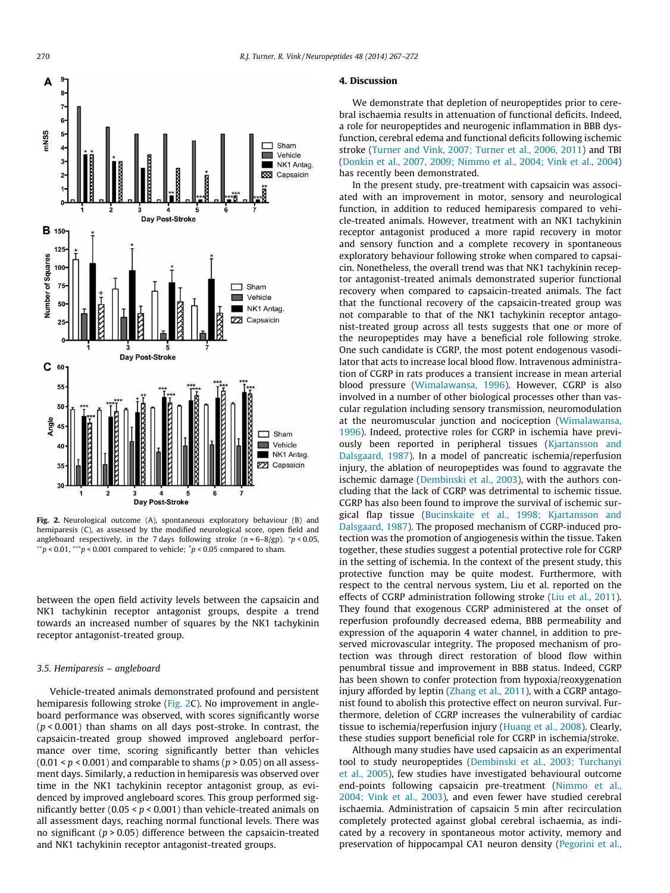# 4. Discussion

We demonstrate that depletion of neuropeptides prior to cerebral ischaemia results in attenuation of functional deficits. Indeed, a role for neuropeptides and neurogenic inflammation in BBB dysfunction, cerebral edema and functional deficits following ischemic stroke [\(Turner and Vink, 2007; Turner et al., 2006, 2011\)](#page-5-0) and TBI ([Donkin et al., 2007, 2009; Nimmo et al., 2004; Vink et al., 2004\)](#page-4-0) has recently been demonstrated.

In the present study, pre-treatment with capsaicin was associated with an improvement in motor, sensory and neurological function, in addition to reduced hemiparesis compared to vehicle-treated animals. However, treatment with an NK1 tachykinin receptor antagonist produced a more rapid recovery in motor and sensory function and a complete recovery in spontaneous exploratory behaviour following stroke when compared to capsaicin. Nonetheless, the overall trend was that NK1 tachykinin receptor antagonist-treated animals demonstrated superior functional recovery when compared to capsaicin-treated animals. The fact that the functional recovery of the capsaicin-treated group was not comparable to that of the NK1 tachykinin receptor antagonist-treated group across all tests suggests that one or more of the neuropeptides may have a beneficial role following stroke. One such candidate is CGRP, the most potent endogenous vasodilator that acts to increase local blood flow. Intravenous administration of CGRP in rats produces a transient increase in mean arterial blood pressure [\(Wimalawansa, 1996](#page-5-0)). However, CGRP is also involved in a number of other biological processes other than vascular regulation including sensory transmission, neuromodulation at the neuromuscular junction and nociception [\(Wimalawansa,](#page-5-0) [1996\)](#page-5-0). Indeed, protective roles for CGRP in ischemia have previously been reported in peripheral tissues ([Kjartansson and](#page-5-0) [Dalsgaard, 1987\)](#page-5-0). In a model of pancreatic ischemia/reperfusion injury, the ablation of neuropeptides was found to aggravate the ischemic damage ([Dembinski et al., 2003](#page-4-0)), with the authors concluding that the lack of CGRP was detrimental to ischemic tissue. CGRP has also been found to improve the survival of ischemic surgical flap tissue [\(Bucinskaite et al., 1998; Kjartansson and](#page-4-0) [Dalsgaard, 1987\)](#page-4-0). The proposed mechanism of CGRP-induced protection was the promotion of angiogenesis within the tissue. Taken together, these studies suggest a potential protective role for CGRP in the setting of ischemia. In the context of the present study, this protective function may be quite modest. Furthermore, with respect to the central nervous system, Liu et al. reported on the effects of CGRP administration following stroke [\(Liu et al., 2011\)](#page-5-0). They found that exogenous CGRP administered at the onset of reperfusion profoundly decreased edema, BBB permeability and expression of the aquaporin 4 water channel, in addition to preserved microvascular integrity. The proposed mechanism of protection was through direct restoration of blood flow within penumbral tissue and improvement in BBB status. Indeed, CGRP has been shown to confer protection from hypoxia/reoxygenation injury afforded by leptin [\(Zhang et al., 2011](#page-5-0)), with a CGRP antagonist found to abolish this protective effect on neuron survival. Furthermore, deletion of CGRP increases the vulnerability of cardiac tissue to ischemia/reperfusion injury ([Huang et al., 2008](#page-5-0)). Clearly, these studies support beneficial role for CGRP in ischemia/stroke.

Although many studies have used capsaicin as an experimental tool to study neuropeptides ([Dembinski et al., 2003; Turchanyi](#page-4-0) [et al., 2005](#page-4-0)), few studies have investigated behavioural outcome end-points following capsaicin pre-treatment [\(Nimmo et al.,](#page-5-0) [2004; Vink et al., 2003\)](#page-5-0), and even fewer have studied cerebral ischaemia. Administration of capsaicin 5 min after recirculation completely protected against global cerebral ischaemia, as indicated by a recovery in spontaneous motor activity, memory and preservation of hippocampal CA1 neuron density [\(Pegorini et al.,](#page-5-0)

Fig. 2. Neurological outcome (A), spontaneous exploratory behaviour (B) and hemiparesis (C), as assessed by the modified neurological score, open field and angleboard respectively, in the 7 days following stroke  $(n = 6-8/gp)$ . \*p < 0.05,  $^{**}p$  < 0.01,  $^{***}p$  < 0.001 compared to vehicle;  $^{*}p$  < 0.05 compared to sham.

between the open field activity levels between the capsaicin and NK1 tachykinin receptor antagonist groups, despite a trend towards an increased number of squares by the NK1 tachykinin receptor antagonist-treated group.

#### 3.5. Hemiparesis – angleboard

Vehicle-treated animals demonstrated profound and persistent hemiparesis following stroke (Fig. 2C). No improvement in angleboard performance was observed, with scores significantly worse  $(p < 0.001)$  than shams on all days post-stroke. In contrast, the capsaicin-treated group showed improved angleboard performance over time, scoring significantly better than vehicles  $(0.01 < p < 0.001)$  and comparable to shams  $(p > 0.05)$  on all assessment days. Similarly, a reduction in hemiparesis was observed over time in the NK1 tachykinin receptor antagonist group, as evidenced by improved angleboard scores. This group performed significantly better  $(0.05 < p < 0.001)$  than vehicle-treated animals on all assessment days, reaching normal functional levels. There was no significant ( $p > 0.05$ ) difference between the capsaicin-treated and NK1 tachykinin receptor antagonist-treated groups.

<span id="page-3-0"></span>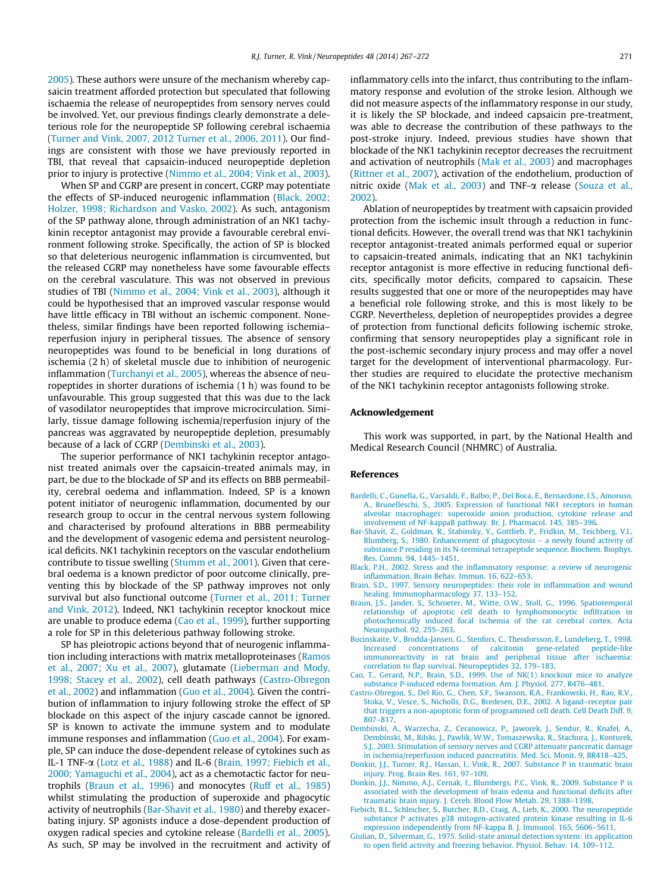<span id="page-4-0"></span>[2005](#page-5-0)). These authors were unsure of the mechanism whereby capsaicin treatment afforded protection but speculated that following ischaemia the release of neuropeptides from sensory nerves could be involved. Yet, our previous findings clearly demonstrate a deleterious role for the neuropeptide SP following cerebral ischaemia ([Turner and Vink, 2007, 2012 Turner et al., 2006, 2011\)](#page-5-0). Our findings are consistent with those we have previously reported in TBI, that reveal that capsaicin-induced neuropeptide depletion prior to injury is protective [\(Nimmo et al., 2004; Vink et al., 2003\)](#page-5-0).

When SP and CGRP are present in concert, CGRP may potentiate the effects of SP-induced neurogenic inflammation (Black, 2002; Holzer, 1998; Richardson and Vasko, 2002). As such, antagonism of the SP pathway alone, through administration of an NK1 tachykinin receptor antagonist may provide a favourable cerebral environment following stroke. Specifically, the action of SP is blocked so that deleterious neurogenic inflammation is circumvented, but the released CGRP may nonetheless have some favourable effects on the cerebral vasculature. This was not observed in previous studies of TBI ([Nimmo et al., 2004; Vink et al., 2003\)](#page-5-0), although it could be hypothesised that an improved vascular response would have little efficacy in TBI without an ischemic component. Nonetheless, similar findings have been reported following ischemia– reperfusion injury in peripheral tissues. The absence of sensory neuropeptides was found to be beneficial in long durations of ischemia (2 h) of skeletal muscle due to inhibition of neurogenic inflammation ([Turchanyi et al., 2005\)](#page-5-0), whereas the absence of neuropeptides in shorter durations of ischemia (1 h) was found to be unfavourable. This group suggested that this was due to the lack of vasodilator neuropeptides that improve microcirculation. Similarly, tissue damage following ischemia/reperfusion injury of the pancreas was aggravated by neuropeptide depletion, presumably because of a lack of CGRP (Dembinski et al., 2003).

The superior performance of NK1 tachykinin receptor antagonist treated animals over the capsaicin-treated animals may, in part, be due to the blockade of SP and its effects on BBB permeability, cerebral oedema and inflammation. Indeed, SP is a known potent initiator of neurogenic inflammation, documented by our research group to occur in the central nervous system following and characterised by profound alterations in BBB permeability and the development of vasogenic edema and persistent neurological deficits. NK1 tachykinin receptors on the vascular endothelium contribute to tissue swelling [\(Stumm et al., 2001\)](#page-5-0). Given that cerebral oedema is a known predictor of poor outcome clinically, preventing this by blockade of the SP pathway improves not only survival but also functional outcome [\(Turner et al., 2011; Turner](#page-5-0) [and Vink, 2012](#page-5-0)). Indeed, NK1 tachykinin receptor knockout mice are unable to produce edema (Cao et al., 1999), further supporting a role for SP in this deleterious pathway following stroke.

SP has pleiotropic actions beyond that of neurogenic inflammation including interactions with matrix metalloproteinases [\(Ramos](#page-5-0) [et al., 2007; Xu et al., 2007\)](#page-5-0), glutamate [\(Lieberman and Mody,](#page-5-0) [1998; Stacey et al., 2002](#page-5-0)), cell death pathways (Castro-Obregon et al., 2002) and inflammation [\(Guo et al., 2004\)](#page-5-0). Given the contribution of inflammation to injury following stroke the effect of SP blockade on this aspect of the injury cascade cannot be ignored. SP is known to activate the immune system and to modulate immune responses and inflammation ([Guo et al., 2004](#page-5-0)). For example, SP can induce the dose-dependent release of cytokines such as IL-1 TNF-a [\(Lotz et al., 1988\)](#page-5-0) and IL-6 (Brain, 1997; Fiebich et al., 2000; Yamaguchi et al., 2004), act as a chemotactic factor for neutrophils (Braun et al., 1996) and monocytes [\(Ruff et al., 1985\)](#page-5-0) whilst stimulating the production of superoxide and phagocytic activity of neutrophils (Bar-Shavit et al., 1980) and thereby exacerbating injury. SP agonists induce a dose-dependent production of oxygen radical species and cytokine release (Bardelli et al., 2005). As such, SP may be involved in the recruitment and activity of inflammatory cells into the infarct, thus contributing to the inflammatory response and evolution of the stroke lesion. Although we did not measure aspects of the inflammatory response in our study, it is likely the SP blockade, and indeed capsaicin pre-treatment, was able to decrease the contribution of these pathways to the post-stroke injury. Indeed, previous studies have shown that blockade of the NK1 tachykinin receptor decreases the recruitment and activation of neutrophils [\(Mak et al., 2003\)](#page-5-0) and macrophages ([Rittner et al., 2007\)](#page-5-0), activation of the endothelium, production of nitric oxide [\(Mak et al., 2003\)](#page-5-0) and TNF- $\alpha$  release ([Souza et al.,](#page-5-0) [2002](#page-5-0)).

Ablation of neuropeptides by treatment with capsaicin provided protection from the ischemic insult through a reduction in functional deficits. However, the overall trend was that NK1 tachykinin receptor antagonist-treated animals performed equal or superior to capsaicin-treated animals, indicating that an NK1 tachykinin receptor antagonist is more effective in reducing functional deficits, specifically motor deficits, compared to capsaicin. These results suggested that one or more of the neuropeptides may have a beneficial role following stroke, and this is most likely to be CGRP. Nevertheless, depletion of neuropeptides provides a degree of protection from functional deficits following ischemic stroke, confirming that sensory neuropeptides play a significant role in the post-ischemic secondary injury process and may offer a novel target for the development of interventional pharmacology. Further studies are required to elucidate the protective mechanism of the NK1 tachykinin receptor antagonists following stroke.

#### Acknowledgement

This work was supported, in part, by the National Health and Medical Research Council (NHMRC) of Australia.

#### References

- [Bardelli, C., Gunella, G., Varsaldi, F., Balbo, P., Del Boca, E., Bernardone, I.S., Amoruso,](http://refhub.elsevier.com/S0143-4179(14)00066-3/h0005) [A., Brunelleschi, S., 2005. Expression of functional NK1 receptors in human](http://refhub.elsevier.com/S0143-4179(14)00066-3/h0005) [alveolar macrophages: superoxide anion production, cytokine release and](http://refhub.elsevier.com/S0143-4179(14)00066-3/h0005) [involvement of NF-kappaB pathway. Br. J. Pharmacol. 145, 385–396](http://refhub.elsevier.com/S0143-4179(14)00066-3/h0005).
- [Bar-Shavit, Z., Goldman, R., Stabinsky, Y., Gottlieb, P., Fridkin, M., Teichberg, V.I.,](http://refhub.elsevier.com/S0143-4179(14)00066-3/h0010) [Blumberg, S., 1980. Enhancement of phagocytosis – a newly found activity of](http://refhub.elsevier.com/S0143-4179(14)00066-3/h0010) [substance P residing in its N-terminal tetrapeptide sequence. Biochem. Biophys.](http://refhub.elsevier.com/S0143-4179(14)00066-3/h0010) [Res. Comm. 94, 1445–1451.](http://refhub.elsevier.com/S0143-4179(14)00066-3/h0010)
- [Black, P.H., 2002. Stress and the inflammatory response: a review of neurogenic](http://refhub.elsevier.com/S0143-4179(14)00066-3/h0015) [inflammation. Brain Behav. Immun. 16, 622–653.](http://refhub.elsevier.com/S0143-4179(14)00066-3/h0015)
- [Brain, S.D., 1997. Sensory neuropeptides: their role in inflammation and wound](http://refhub.elsevier.com/S0143-4179(14)00066-3/h0020) [healing. Immunopharmacology 37, 133–152](http://refhub.elsevier.com/S0143-4179(14)00066-3/h0020).
- [Braun, J.S., Jander, S., Schroeter, M., Witte, O.W., Stoll, G., 1996. Spatiotemporal](http://refhub.elsevier.com/S0143-4179(14)00066-3/h0025) [relationship of apoptotic cell death to lymphomonocytic infiltration in](http://refhub.elsevier.com/S0143-4179(14)00066-3/h0025) [photochemically induced focal ischemia of the rat cerebral cortex. Acta](http://refhub.elsevier.com/S0143-4179(14)00066-3/h0025) [Neuropathol. 92, 255–263](http://refhub.elsevier.com/S0143-4179(14)00066-3/h0025).
- [Bucinskaite, V., Brodda-Jansen, G., Stenfors, C., Theodorsson, E., Lundeberg, T., 1998.](http://refhub.elsevier.com/S0143-4179(14)00066-3/h0030) [Increased concentrations of calcitonin gene-related peptide-like](http://refhub.elsevier.com/S0143-4179(14)00066-3/h0030) [immunoreactivity in rat brain and peripheral tissue after ischaemia:](http://refhub.elsevier.com/S0143-4179(14)00066-3/h0030) [correlation to flap survival. Neuropeptides 32, 179–183](http://refhub.elsevier.com/S0143-4179(14)00066-3/h0030).
- [Cao, T., Gerard, N.P., Brain, S.D., 1999. Use of NK\(1\) knockout mice to analyze](http://refhub.elsevier.com/S0143-4179(14)00066-3/h0035) [substance P-induced edema formation. Am. J. Physiol. 277, R476–481](http://refhub.elsevier.com/S0143-4179(14)00066-3/h0035).
- [Castro-Obregon, S., Del Rio, G., Chen, S.F., Swanson, R.A., Frankowski, H., Rao, R.V.,](http://refhub.elsevier.com/S0143-4179(14)00066-3/h0040) [Stoka, V., Vesce, S., Nicholls, D.G., Bredesen, D.E., 2002. A ligand–receptor pair](http://refhub.elsevier.com/S0143-4179(14)00066-3/h0040) [that triggers a non-apoptotic form of programmed cell death. Cell Death Diff. 9,](http://refhub.elsevier.com/S0143-4179(14)00066-3/h0040) [807–817](http://refhub.elsevier.com/S0143-4179(14)00066-3/h0040).
- [Dembinski, A., Warzecha, Z., Ceranowicz, P., Jaworek, J., Sendur, R., Knafel, A.,](http://refhub.elsevier.com/S0143-4179(14)00066-3/h0045) [Dembinski, M., Bilski, J., Pawlik, W.W., Tomaszewska, R., Stachura, J., Konturek,](http://refhub.elsevier.com/S0143-4179(14)00066-3/h0045) [S.J., 2003. Stimulation of sensory nerves and CGRP attenuate pancreatic damage](http://refhub.elsevier.com/S0143-4179(14)00066-3/h0045) [in ischemia/reperfusion induced pancreatitis. Med. Sci. Monit. 9, BR418–425.](http://refhub.elsevier.com/S0143-4179(14)00066-3/h0045)
- [Donkin, J.J., Turner, R.J., Hassan, I., Vink, R., 2007. Substance P in traumatic brain](http://refhub.elsevier.com/S0143-4179(14)00066-3/h0050) [injury. Prog. Brain Res. 161, 97–109.](http://refhub.elsevier.com/S0143-4179(14)00066-3/h0050)
- [Donkin, J.J., Nimmo, A.J., Cernak, I., Blumbergs, P.C., Vink, R., 2009. Substance P is](http://refhub.elsevier.com/S0143-4179(14)00066-3/h0055) [associated with the development of brain edema and functional deficits after](http://refhub.elsevier.com/S0143-4179(14)00066-3/h0055) [traumatic brain injury. J. Cereb. Blood Flow Metab. 29, 1388–1398](http://refhub.elsevier.com/S0143-4179(14)00066-3/h0055).
- [Fiebich, B.L., Schleicher, S., Butcher, R.D., Craig, A., Lieb, K., 2000. The neuropeptide](http://refhub.elsevier.com/S0143-4179(14)00066-3/h0060) [substance P activates p38 mitogen-activated protein kinase resulting in IL-6](http://refhub.elsevier.com/S0143-4179(14)00066-3/h0060) [expression independently from NF-kappa B. J. Immunol. 165, 5606–5611](http://refhub.elsevier.com/S0143-4179(14)00066-3/h0060).
- [Giulian, D., Silverman, G., 1975. Solid-state animal detection system: its application](http://refhub.elsevier.com/S0143-4179(14)00066-3/h0065) [to open field activity and freezing behavior. Physiol. Behav. 14, 109–112](http://refhub.elsevier.com/S0143-4179(14)00066-3/h0065).